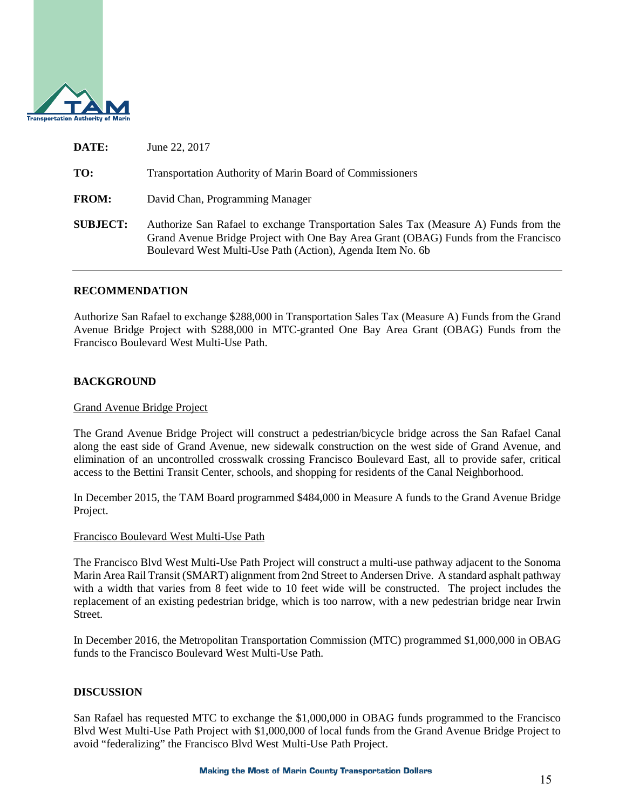

| DATE:           | June 22, 2017                                                                                                                                                                                                                             |
|-----------------|-------------------------------------------------------------------------------------------------------------------------------------------------------------------------------------------------------------------------------------------|
| TO:             | <b>Transportation Authority of Marin Board of Commissioners</b>                                                                                                                                                                           |
| <b>FROM:</b>    | David Chan, Programming Manager                                                                                                                                                                                                           |
| <b>SUBJECT:</b> | Authorize San Rafael to exchange Transportation Sales Tax (Measure A) Funds from the<br>Grand Avenue Bridge Project with One Bay Area Grant (OBAG) Funds from the Francisco<br>Boulevard West Multi-Use Path (Action), Agenda Item No. 6b |

### **RECOMMENDATION**

Authorize San Rafael to exchange \$288,000 in Transportation Sales Tax (Measure A) Funds from the Grand Avenue Bridge Project with \$288,000 in MTC-granted One Bay Area Grant (OBAG) Funds from the Francisco Boulevard West Multi-Use Path.

### **BACKGROUND**

#### Grand Avenue Bridge Project

The Grand Avenue Bridge Project will construct a pedestrian/bicycle bridge across the San Rafael Canal along the east side of Grand Avenue, new sidewalk construction on the west side of Grand Avenue, and elimination of an uncontrolled crosswalk crossing Francisco Boulevard East, all to provide safer, critical access to the Bettini Transit Center, schools, and shopping for residents of the Canal Neighborhood.

In December 2015, the TAM Board programmed \$484,000 in Measure A funds to the Grand Avenue Bridge Project.

#### Francisco Boulevard West Multi-Use Path

The Francisco Blvd West Multi-Use Path Project will construct a multi-use pathway adjacent to the Sonoma Marin Area Rail Transit (SMART) alignment from 2nd Street to Andersen Drive. A standard asphalt pathway with a width that varies from 8 feet wide to 10 feet wide will be constructed. The project includes the replacement of an existing pedestrian bridge, which is too narrow, with a new pedestrian bridge near Irwin Street.

In December 2016, the Metropolitan Transportation Commission (MTC) programmed \$1,000,000 in OBAG funds to the Francisco Boulevard West Multi-Use Path.

# **DISCUSSION**

San Rafael has requested MTC to exchange the \$1,000,000 in OBAG funds programmed to the Francisco Blvd West Multi-Use Path Project with \$1,000,000 of local funds from the Grand Avenue Bridge Project to avoid "federalizing" the Francisco Blvd West Multi-Use Path Project.